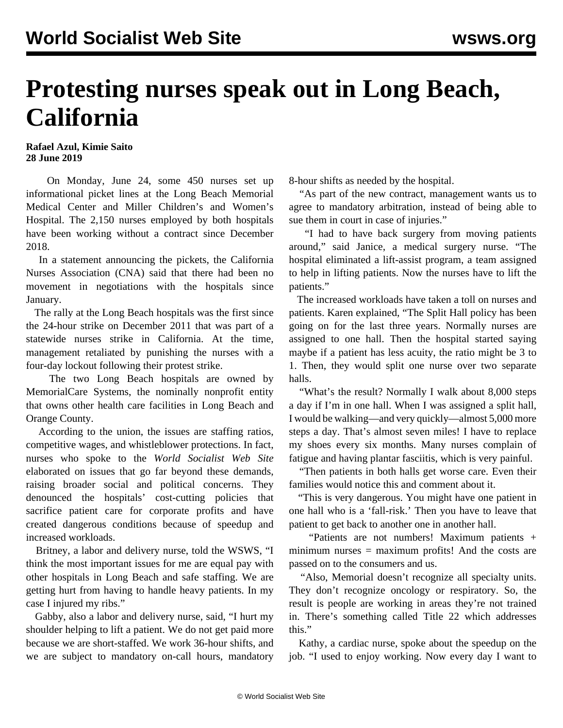## **Protesting nurses speak out in Long Beach, California**

## **Rafael Azul, Kimie Saito 28 June 2019**

 On Monday, June 24, some 450 nurses set up informational picket lines at the Long Beach Memorial Medical Center and Miller Children's and Women's Hospital. The 2,150 nurses employed by both hospitals have been working without a contract since December 2018.

 In a statement announcing the pickets, the California Nurses Association (CNA) said that there had been no movement in negotiations with the hospitals since January.

 The rally at the Long Beach hospitals was the first since the 24-hour strike on December 2011 that was part of a statewide nurses strike in California. At the time, management retaliated by punishing the nurses with a four-day lockout following their protest strike.

 The two Long Beach hospitals are owned by MemorialCare Systems, the nominally nonprofit entity that owns other health care facilities in Long Beach and Orange County.

 According to the union, the issues are staffing ratios, competitive wages, and whistleblower protections. In fact, nurses who spoke to the *World Socialist Web Site* elaborated on issues that go far beyond these demands, raising broader social and political concerns. They denounced the hospitals' cost-cutting policies that sacrifice patient care for corporate profits and have created dangerous conditions because of speedup and increased workloads.

 Britney, a labor and delivery nurse, told the WSWS, "I think the most important issues for me are equal pay with other hospitals in Long Beach and safe staffing. We are getting hurt from having to handle heavy patients. In my case I injured my ribs."

 Gabby, also a labor and delivery nurse, said, "I hurt my shoulder helping to lift a patient. We do not get paid more because we are short-staffed. We work 36-hour shifts, and we are subject to mandatory on-call hours, mandatory 8-hour shifts as needed by the hospital.

 "As part of the new contract, management wants us to agree to mandatory arbitration, instead of being able to sue them in court in case of injuries."

 "I had to have back surgery from moving patients around," said Janice, a medical surgery nurse. "The hospital eliminated a lift-assist program, a team assigned to help in lifting patients. Now the nurses have to lift the patients."

 The increased workloads have taken a toll on nurses and patients. Karen explained, "The Split Hall policy has been going on for the last three years. Normally nurses are assigned to one hall. Then the hospital started saying maybe if a patient has less acuity, the ratio might be 3 to 1. Then, they would split one nurse over two separate halls.

"What's the result? Normally I walk about 8,000 steps a day if I'm in one hall. When I was assigned a split hall, I would be walking—and very quickly—almost 5,000 more steps a day. That's almost seven miles! I have to replace my shoes every six months. Many nurses complain of fatigue and having plantar fasciitis, which is very painful.

 "Then patients in both halls get worse care. Even their families would notice this and comment about it.

 "This is very dangerous. You might have one patient in one hall who is a 'fall-risk.' Then you have to leave that patient to get back to another one in another hall.

 "Patients are not numbers! Maximum patients + minimum nurses = maximum profits! And the costs are passed on to the consumers and us.

 "Also, Memorial doesn't recognize all specialty units. They don't recognize oncology or respiratory. So, the result is people are working in areas they're not trained in. There's something called Title 22 which addresses this."

 Kathy, a cardiac nurse, spoke about the speedup on the job. "I used to enjoy working. Now every day I want to